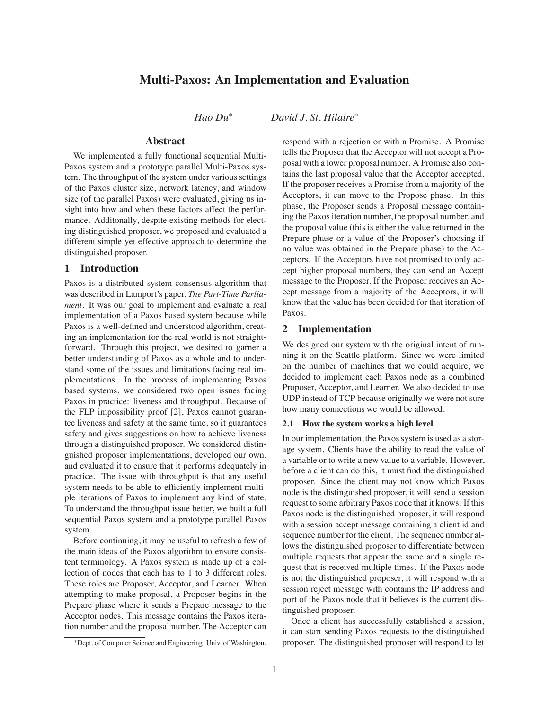# **Multi-Paxos: An Implementation and Evaluation**

*Hao Du*<sup>∗</sup> *David J. St. Hilaire*<sup>∗</sup>

# **Abstract**

We implemented a fully functional sequential Multi-Paxos system and a prototype parallel Multi-Paxos system. The throughput of the system under various settings of the Paxos cluster size, network latency, and window size (of the parallel Paxos) were evaluated, giving us insight into how and when these factors affect the performance. Additonally, despite existing methods for electing distinguished proposer, we proposed and evaluated a different simple yet effective approach to determine the distinguished proposer.

# **1 Introduction**

Paxos is a distributed system consensus algorithm that was described in Lamport's paper, *The Part-Time Parliament*. It was our goal to implement and evaluate a real implementation of a Paxos based system because while Paxos is a well-defined and understood algorithm, creating an implementation for the real world is not straightforward. Through this project, we desired to garner a better understanding of Paxos as a whole and to understand some of the issues and limitations facing real implementations. In the process of implementing Paxos based systems, we considered two open issues facing Paxos in practice: liveness and throughput. Because of the FLP impossibility proof [2], Paxos cannot guarantee liveness and safety at the same time, so it guarantees safety and gives suggestions on how to achieve liveness through a distinguished proposer. We considered distinguished proposer implementations, developed our own, and evaluated it to ensure that it performs adequately in practice. The issue with throughput is that any useful system needs to be able to efficiently implement multiple iterations of Paxos to implement any kind of state. To understand the throughput issue better, we built a full sequential Paxos system and a prototype parallel Paxos system.

Before continuing, it may be useful to refresh a few of the main ideas of the Paxos algorithm to ensure consistent terminology. A Paxos system is made up of a collection of nodes that each has to 1 to 3 different roles. These roles are Proposer, Acceptor, and Learner. When attempting to make proposal, a Proposer begins in the Prepare phase where it sends a Prepare message to the Acceptor nodes. This message contains the Paxos iteration number and the proposal number. The Acceptor can

respond with a rejection or with a Promise. A Promise tells the Proposer that the Acceptor will not accept a Proposal with a lower proposal number. A Promise also contains the last proposal value that the Acceptor accepted. If the proposer receives a Promise from a majority of the Acceptors, it can move to the Propose phase. In this phase, the Proposer sends a Proposal message containing the Paxos iteration number, the proposal number, and the proposal value (this is either the value returned in the Prepare phase or a value of the Proposer's choosing if no value was obtained in the Prepare phase) to the Acceptors. If the Acceptors have not promised to only accept higher proposal numbers, they can send an Accept message to the Proposer. If the Proposer receives an Accept message from a majority of the Acceptors, it will know that the value has been decided for that iteration of Paxos.

# **2 Implementation**

We designed our system with the original intent of running it on the Seattle platform. Since we were limited on the number of machines that we could acquire, we decided to implement each Paxos node as a combined Proposer, Acceptor, and Learner. We also decided to use UDP instead of TCP because originally we were not sure how many connections we would be allowed.

### **2.1 How the system works a high level**

In our implementation, the Paxos system is used as a storage system. Clients have the ability to read the value of a variable or to write a new value to a variable. However, before a client can do this, it must find the distinguished proposer. Since the client may not know which Paxos node is the distinguished proposer, it will send a session request to some arbitrary Paxos node that it knows. If this Paxos node is the distinguished proposer, it will respond with a session accept message containing a client id and sequence number for the client. The sequence number allows the distinguished proposer to differentiate between multiple requests that appear the same and a single request that is received multiple times. If the Paxos node is not the distinguished proposer, it will respond with a session reject message with contains the IP address and port of the Paxos node that it believes is the current distinguished proposer.

Once a client has successfully established a session, it can start sending Paxos requests to the distinguished proposer. The distinguished proposer will respond to let

<sup>∗</sup>Dept. of Computer Science and Engineering, Univ. of Washington.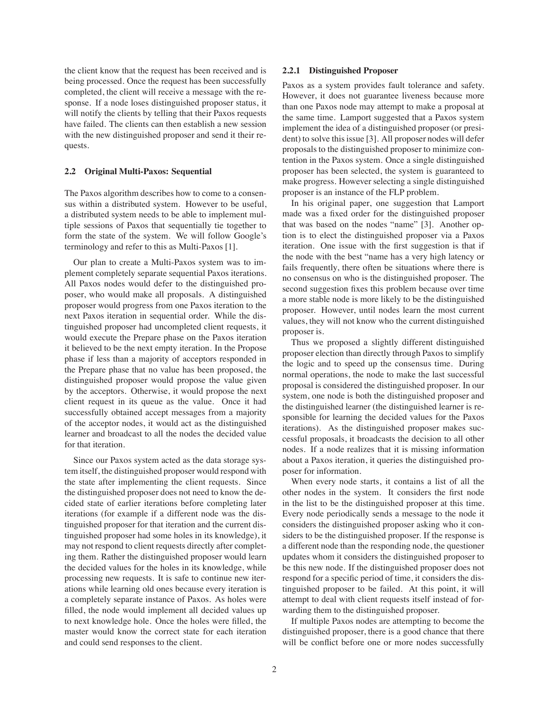the client know that the request has been received and is being processed. Once the request has been successfully completed, the client will receive a message with the response. If a node loses distinguished proposer status, it will notify the clients by telling that their Paxos requests have failed. The clients can then establish a new session with the new distinguished proposer and send it their requests.

### **2.2 Original Multi-Paxos: Sequential**

The Paxos algorithm describes how to come to a consensus within a distributed system. However to be useful, a distributed system needs to be able to implement multiple sessions of Paxos that sequentially tie together to form the state of the system. We will follow Google's terminology and refer to this as Multi-Paxos [1].

Our plan to create a Multi-Paxos system was to implement completely separate sequential Paxos iterations. All Paxos nodes would defer to the distinguished proposer, who would make all proposals. A distinguished proposer would progress from one Paxos iteration to the next Paxos iteration in sequential order. While the distinguished proposer had uncompleted client requests, it would execute the Prepare phase on the Paxos iteration it believed to be the next empty iteration. In the Propose phase if less than a majority of acceptors responded in the Prepare phase that no value has been proposed, the distinguished proposer would propose the value given by the acceptors. Otherwise, it would propose the next client request in its queue as the value. Once it had successfully obtained accept messages from a majority of the acceptor nodes, it would act as the distinguished learner and broadcast to all the nodes the decided value for that iteration.

Since our Paxos system acted as the data storage system itself, the distinguished proposer would respond with the state after implementing the client requests. Since the distinguished proposer does not need to know the decided state of earlier iterations before completing later iterations (for example if a different node was the distinguished proposer for that iteration and the current distinguished proposer had some holes in its knowledge), it may not respond to client requests directly after completing them. Rather the distinguished proposer would learn the decided values for the holes in its knowledge, while processing new requests. It is safe to continue new iterations while learning old ones because every iteration is a completely separate instance of Paxos. As holes were filled, the node would implement all decided values up to next knowledge hole. Once the holes were filled, the master would know the correct state for each iteration and could send responses to the client.

#### **2.2.1 Distinguished Proposer**

Paxos as a system provides fault tolerance and safety. However, it does not guarantee liveness because more than one Paxos node may attempt to make a proposal at the same time. Lamport suggested that a Paxos system implement the idea of a distinguished proposer (or president) to solve this issue [3]. All proposer nodes will defer proposals to the distinguished proposer to minimize contention in the Paxos system. Once a single distinguished proposer has been selected, the system is guaranteed to make progress. However selecting a single distinguished proposer is an instance of the FLP problem.

In his original paper, one suggestion that Lamport made was a fixed order for the distinguished proposer that was based on the nodes "name" [3]. Another option is to elect the distinguished proposer via a Paxos iteration. One issue with the first suggestion is that if the node with the best "name has a very high latency or fails frequently, there often be situations where there is no consensus on who is the distinguished proposer. The second suggestion fixes this problem because over time a more stable node is more likely to be the distinguished proposer. However, until nodes learn the most current values, they will not know who the current distinguished proposer is.

Thus we proposed a slightly different distinguished proposer election than directly through Paxos to simplify the logic and to speed up the consensus time. During normal operations, the node to make the last successful proposal is considered the distinguished proposer. In our system, one node is both the distinguished proposer and the distinguished learner (the distinguished learner is responsible for learning the decided values for the Paxos iterations). As the distinguished proposer makes successful proposals, it broadcasts the decision to all other nodes. If a node realizes that it is missing information about a Paxos iteration, it queries the distinguished proposer for information.

When every node starts, it contains a list of all the other nodes in the system. It considers the first node in the list to be the distinguished proposer at this time. Every node periodically sends a message to the node it considers the distinguished proposer asking who it considers to be the distinguished proposer. If the response is a different node than the responding node, the questioner updates whom it considers the distinguished proposer to be this new node. If the distinguished proposer does not respond for a specific period of time, it considers the distinguished proposer to be failed. At this point, it will attempt to deal with client requests itself instead of forwarding them to the distinguished proposer.

If multiple Paxos nodes are attempting to become the distinguished proposer, there is a good chance that there will be conflict before one or more nodes successfully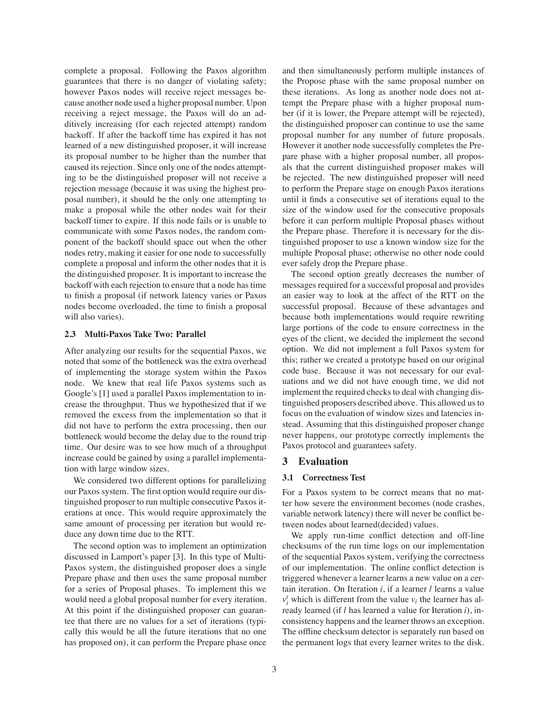complete a proposal. Following the Paxos algorithm guarantees that there is no danger of violating safety; however Paxos nodes will receive reject messages because another node used a higher proposal number. Upon receiving a reject message, the Paxos will do an additively increasing (for each rejected attempt) random backoff. If after the backoff time has expired it has not learned of a new distinguished proposer, it will increase its proposal number to be higher than the number that caused its rejection. Since only one of the nodes attempting to be the distinguished proposer will not receive a rejection message (because it was using the highest proposal number), it should be the only one attempting to make a proposal while the other nodes wait for their backoff timer to expire. If this node fails or is unable to communicate with some Paxos nodes, the random component of the backoff should space out when the other nodes retry, making it easier for one node to successfully complete a proposal and inform the other nodes that it is the distinguished proposer. It is important to increase the backoff with each rejection to ensure that a node has time to finish a proposal (if network latency varies or Paxos nodes become overloaded, the time to finish a proposal will also varies).

#### **2.3 Multi-Paxos Take Two: Parallel**

After analyzing our results for the sequential Paxos, we noted that some of the bottleneck was the extra overhead of implementing the storage system within the Paxos node. We knew that real life Paxos systems such as Google's [1] used a parallel Paxos implementation to increase the throughput. Thus we hypothesized that if we removed the excess from the implementation so that it did not have to perform the extra processing, then our bottleneck would become the delay due to the round trip time. Our desire was to see how much of a throughput increase could be gained by using a parallel implementation with large window sizes.

We considered two different options for parallelizing our Paxos system. The first option would require our distinguished proposer to run multiple consecutive Paxos iterations at once. This would require approximately the same amount of processing per iteration but would reduce any down time due to the RTT.

The second option was to implement an optimization discussed in Lamport's paper [3]. In this type of Multi-Paxos system, the distinguished proposer does a single Prepare phase and then uses the same proposal number for a series of Proposal phases. To implement this we would need a global proposal number for every iteration. At this point if the distinguished proposer can guarantee that there are no values for a set of iterations (typically this would be all the future iterations that no one has proposed on), it can perform the Prepare phase once

and then simultaneously perform multiple instances of the Propose phase with the same proposal number on these iterations. As long as another node does not attempt the Prepare phase with a higher proposal number (if it is lower, the Prepare attempt will be rejected), the distinguished proposer can continue to use the same proposal number for any number of future proposals. However it another node successfully completes the Prepare phase with a higher proposal number, all proposals that the current distinguished proposer makes will be rejected. The new distinguished proposer will need to perform the Prepare stage on enough Paxos iterations until it finds a consecutive set of iterations equal to the size of the window used for the consecutive proposals before it can perform multiple Proposal phases without the Prepare phase. Therefore it is necessary for the distinguished proposer to use a known window size for the multiple Proposal phase; otherwise no other node could ever safely drop the Prepare phase.

The second option greatly decreases the number of messages required for a successful proposal and provides an easier way to look at the affect of the RTT on the successful proposal. Because of these advantages and because both implementations would require rewriting large portions of the code to ensure correctness in the eyes of the client, we decided the implement the second option. We did not implement a full Paxos system for this; rather we created a prototype based on our original code base. Because it was not necessary for our evaluations and we did not have enough time, we did not implement the required checks to deal with changing distinguished proposers described above. This allowed us to focus on the evaluation of window sizes and latencies instead. Assuming that this distinguished proposer change never happens, our prototype correctly implements the Paxos protocol and guarantees safety.

#### **3 Evaluation**

#### **3.1 Correctness Test**

For a Paxos system to be correct means that no matter how severe the environment becomes (node crashes, variable network latency) there will never be conflict between nodes about learned(decided) values.

We apply run-time conflict detection and off-line checksums of the run time logs on our implementation of the sequential Paxos system, verifying the correctness of our implementation. The online conflict detection is triggered whenever a learner learns a new value on a certain iteration. On Iteration *i*, if a learner *l* learns a value  $v_i'$  which is different from the value  $v_i$  the learner has already learned (if *l* has learned a value for Iteration *i*), inconsistency happens and the learner throws an exception. The offline checksum detector is separately run based on the permanent logs that every learner writes to the disk.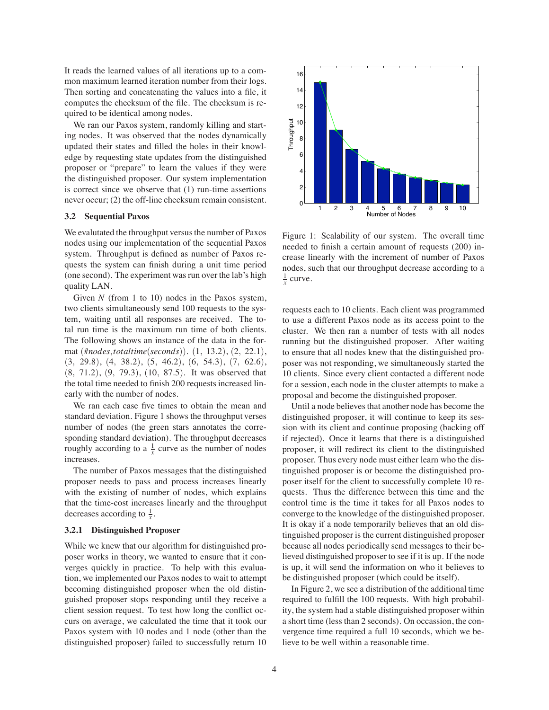It reads the learned values of all iterations up to a common maximum learned iteration number from their logs. Then sorting and concatenating the values into a file, it computes the checksum of the file. The checksum is required to be identical among nodes.

We ran our Paxos system, randomly killing and starting nodes. It was observed that the nodes dynamically updated their states and filled the holes in their knowledge by requesting state updates from the distinguished proposer or "prepare" to learn the values if they were the distinguished proposer. Our system implementation is correct since we observe that (1) run-time assertions never occur; (2) the off-line checksum remain consistent.

### **3.2 Sequential Paxos**

We evalutated the throughput versus the number of Paxos nodes using our implementation of the sequential Paxos system. Throughput is defined as number of Paxos requests the system can finish during a unit time period (one second). The experiment was run over the lab's high quality LAN.

Given *N* (from 1 to 10) nodes in the Paxos system, two clients simultaneously send 100 requests to the system, waiting until all responses are received. The total run time is the maximum run time of both clients. The following shows an instance of the data in the format (#*nodes*,*totaltime*(*seconds*)). (1, 13.2), (2, 22.1), (3, 29.8), (4, 38.2), (5, 46.2), (6, 54.3), (7, 62.6), (8, 71.2), (9, 79.3), (10, 87.5). It was observed that the total time needed to finish 200 requests increased linearly with the number of nodes.

We ran each case five times to obtain the mean and standard deviation. Figure 1 shows the throughput verses number of nodes (the green stars annotates the corresponding standard deviation). The throughput decreases roughly according to a  $\frac{1}{x}$  curve as the number of nodes increases.

The number of Paxos messages that the distinguished proposer needs to pass and process increases linearly with the existing of number of nodes, which explains that the time-cost increases linearly and the throughput decreases according to  $\frac{1}{x}$ .

#### **3.2.1 Distinguished Proposer**

While we knew that our algorithm for distinguished proposer works in theory, we wanted to ensure that it converges quickly in practice. To help with this evaluation, we implemented our Paxos nodes to wait to attempt becoming distinguished proposer when the old distinguished proposer stops responding until they receive a client session request. To test how long the conflict occurs on average, we calculated the time that it took our Paxos system with 10 nodes and 1 node (other than the distinguished proposer) failed to successfully return 10



Figure 1: Scalability of our system. The overall time needed to finish a certain amount of requests (200) increase linearly with the increment of number of Paxos nodes, such that our throughput decrease according to a  $\frac{1}{x}$  curve.

requests each to 10 clients. Each client was programmed to use a different Paxos node as its access point to the cluster. We then ran a number of tests with all nodes running but the distinguished proposer. After waiting to ensure that all nodes knew that the distinguished proposer was not responding, we simultaneously started the 10 clients. Since every client contacted a different node for a session, each node in the cluster attempts to make a proposal and become the distinguished proposer.

Until a node believes that another node has become the distinguished proposer, it will continue to keep its session with its client and continue proposing (backing off if rejected). Once it learns that there is a distinguished proposer, it will redirect its client to the distinguished proposer. Thus every node must either learn who the distinguished proposer is or become the distinguished proposer itself for the client to successfully complete 10 requests. Thus the difference between this time and the control time is the time it takes for all Paxos nodes to converge to the knowledge of the distinguished proposer. It is okay if a node temporarily believes that an old distinguished proposer is the current distinguished proposer because all nodes periodically send messages to their believed distinguished proposer to see if it is up. If the node is up, it will send the information on who it believes to be distinguished proposer (which could be itself).

In Figure 2, we see a distribution of the additional time required to fulfill the 100 requests. With high probability, the system had a stable distinguished proposer within a short time (less than 2 seconds). On occassion, the convergence time required a full 10 seconds, which we believe to be well within a reasonable time.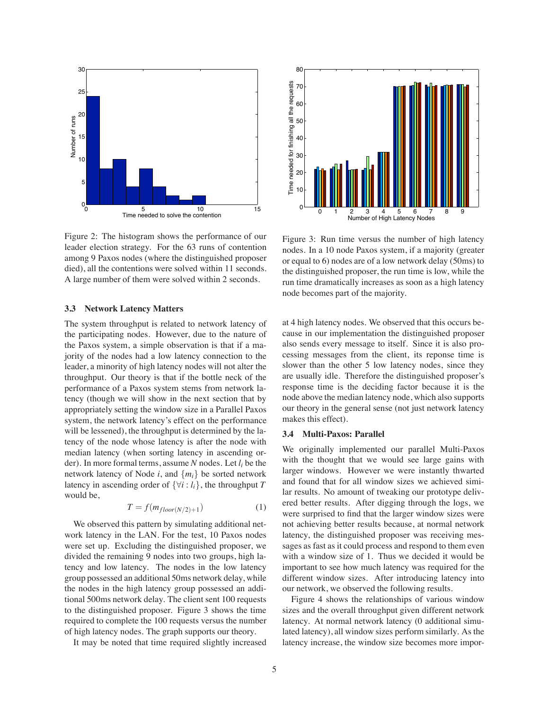

Figure 2: The histogram shows the performance of our leader election strategy. For the 63 runs of contention among 9 Paxos nodes (where the distinguished proposer died), all the contentions were solved within 11 seconds. A large number of them were solved within 2 seconds.

#### **3.3 Network Latency Matters**

The system throughput is related to network latency of the participating nodes. However, due to the nature of the Paxos system, a simple observation is that if a majority of the nodes had a low latency connection to the leader, a minority of high latency nodes will not alter the throughput. Our theory is that if the bottle neck of the performance of a Paxos system stems from network latency (though we will show in the next section that by appropriately setting the window size in a Parallel Paxos system, the network latency's effect on the performance will be lessened), the throughput is determined by the latency of the node whose latency is after the node with median latency (when sorting latency in ascending order). In more formal terms, assume *N* nodes. Let *li* be the network latency of Node  $i$ , and  $\{m_i\}$  be sorted network latency in ascending order of  $\{\forall i : l_i\}$ , the throughput *T* would be,

$$
T = f(m_{floor(N/2)+1})
$$
 (1)

We observed this pattern by simulating additional network latency in the LAN. For the test, 10 Paxos nodes were set up. Excluding the distinguished proposer, we divided the remaining 9 nodes into two groups, high latency and low latency. The nodes in the low latency group possessed an additional 50ms network delay, while the nodes in the high latency group possessed an additional 500ms network delay. The client sent 100 requests to the distinguished proposer. Figure 3 shows the time required to complete the 100 requests versus the number of high latency nodes. The graph supports our theory.

It may be noted that time required slightly increased



Figure 3: Run time versus the number of high latency nodes. In a 10 node Paxos system, if a majority (greater or equal to 6) nodes are of a low network delay (50ms) to the distinguished proposer, the run time is low, while the run time dramatically increases as soon as a high latency node becomes part of the majority.

at 4 high latency nodes. We observed that this occurs because in our implementation the distinguished proposer also sends every message to itself. Since it is also processing messages from the client, its reponse time is slower than the other 5 low latency nodes, since they are usually idle. Therefore the distinguished proposer's response time is the deciding factor because it is the node above the median latency node, which also supports our theory in the general sense (not just network latency makes this effect).

### **3.4 Multi-Paxos: Parallel**

We originally implemented our parallel Multi-Paxos with the thought that we would see large gains with larger windows. However we were instantly thwarted and found that for all window sizes we achieved similar results. No amount of tweaking our prototype delivered better results. After digging through the logs, we were surprised to find that the larger window sizes were not achieving better results because, at normal network latency, the distinguished proposer was receiving messages as fast as it could process and respond to them even with a window size of 1. Thus we decided it would be important to see how much latency was required for the different window sizes. After introducing latency into our network, we observed the following results.

Figure 4 shows the relationships of various window sizes and the overall throughput given different network latency. At normal network latency (0 additional simulated latency), all window sizes perform similarly. As the latency increase, the window size becomes more impor-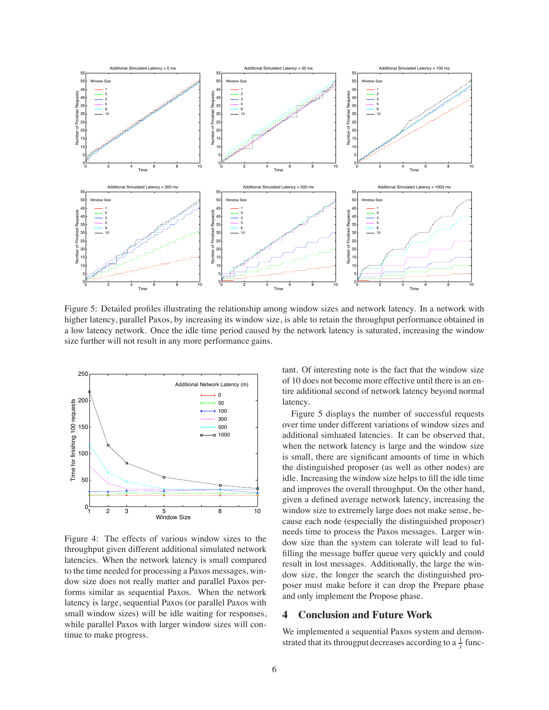

Figure 5: Detailed profiles illustrating the relationship among window sizes and network latency. In a network with higher latency, parallel Paxos, by increasing its window size, is able to retain the throughput performance obtained in a low latency network. Once the idle time period caused by the network latency is saturated, increasing the window size further will not result in any more performance gains.



Figure 4: The effects of various window sizes to the throughput given different additional simulated network latencies. When the network latency is small compared to the time needed for processing a Paxos messages, window size does not really matter and parallel Paxos performs similar as sequential Paxos. When the network latency is large, sequential Paxos (or parallel Paxos with small window sizes) will be idle waiting for responses, while parallel Paxos with larger window sizes will continue to make progress.

tant. Of interesting note is the fact that the window size of 10 does not become more effective until there is an entire additional second of network latency beyond normal latency.

Figure 5 displays the number of successful requests over time under different variations of window sizes and additional simluated latencies. It can be observed that, when the network latency is large and the window size is small, there are significant amounts of time in which the distinguished proposer (as well as other nodes) are idle. Increasing the window size helps to fill the idle time and improves the overall throughput. On the other hand, given a defined average network latency, increasing the window size to extremely large does not make sense, because each node (especially the distinguished proposer) needs time to process the Paxos messages. Larger window size than the system can tolerate will lead to fulfilling the message buffer queue very quickly and could result in lost messages. Additionally, the large the window size, the longer the search the distinguished proposer must make before it can drop the Prepare phase and only implement the Propose phase.

## **4 Conclusion and Future Work**

We implemented a sequential Paxos system and demonstrated that its througput decreases according to a  $\frac{1}{x}$  func